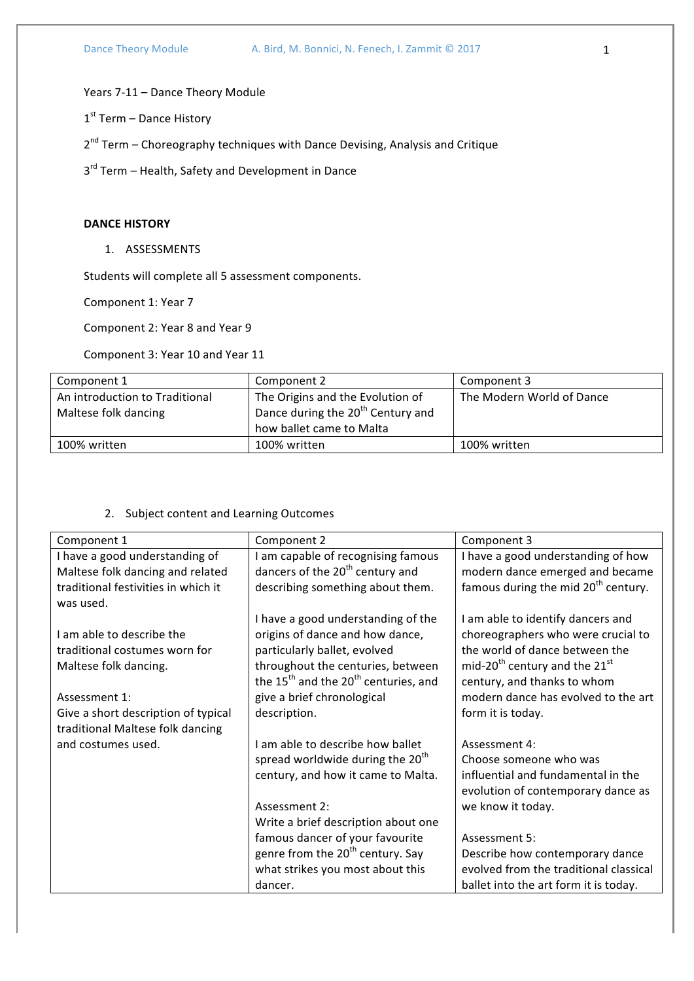Years 7-11 - Dance Theory Module

1st Term - Dance History

 $2^{nd}$  Term – Choreography techniques with Dance Devising, Analysis and Critique

3<sup>rd</sup> Term – Health, Safety and Development in Dance

#### **DANCE HISTORY**

1. ASSESSMENTS

Students will complete all 5 assessment components.

Component 1: Year 7

Component 2: Year 8 and Year 9

Component 3: Year 10 and Year 11

| Component 1                    | Component 2                                   | Component 3               |
|--------------------------------|-----------------------------------------------|---------------------------|
| An introduction to Traditional | The Origins and the Evolution of              | The Modern World of Dance |
| Maltese folk dancing           | Dance during the 20 <sup>th</sup> Century and |                           |
|                                | how ballet came to Malta                      |                           |
| 100% written                   | 100% written                                  | 100% written              |

# 2. Subject content and Learning Outcomes

| Component 1                         | Component 2                                                  | Component 3                                           |
|-------------------------------------|--------------------------------------------------------------|-------------------------------------------------------|
| I have a good understanding of      | I am capable of recognising famous                           | I have a good understanding of how                    |
| Maltese folk dancing and related    | dancers of the 20 <sup>th</sup> century and                  | modern dance emerged and became                       |
| traditional festivities in which it | describing something about them.                             | famous during the mid 20 <sup>th</sup> century.       |
| was used.                           |                                                              |                                                       |
|                                     | I have a good understanding of the                           | I am able to identify dancers and                     |
| I am able to describe the           | origins of dance and how dance,                              | choreographers who were crucial to                    |
| traditional costumes worn for       | particularly ballet, evolved                                 | the world of dance between the                        |
| Maltese folk dancing.               | throughout the centuries, between                            | mid-20 <sup>th</sup> century and the 21 <sup>st</sup> |
|                                     | the 15 <sup>th</sup> and the 20 <sup>th</sup> centuries, and | century, and thanks to whom                           |
| Assessment 1:                       | give a brief chronological                                   | modern dance has evolved to the art                   |
| Give a short description of typical | description.                                                 | form it is today.                                     |
| traditional Maltese folk dancing    |                                                              |                                                       |
| and costumes used.                  | I am able to describe how ballet                             | Assessment 4:                                         |
|                                     | spread worldwide during the 20 <sup>th</sup>                 | Choose someone who was                                |
|                                     | century, and how it came to Malta.                           | influential and fundamental in the                    |
|                                     |                                                              | evolution of contemporary dance as                    |
|                                     | Assessment 2:                                                | we know it today.                                     |
|                                     | Write a brief description about one                          |                                                       |
|                                     | famous dancer of your favourite                              | Assessment 5:                                         |
|                                     | genre from the 20 <sup>th</sup> century. Say                 | Describe how contemporary dance                       |
|                                     | what strikes you most about this                             | evolved from the traditional classical                |
|                                     | dancer.                                                      | ballet into the art form it is today.                 |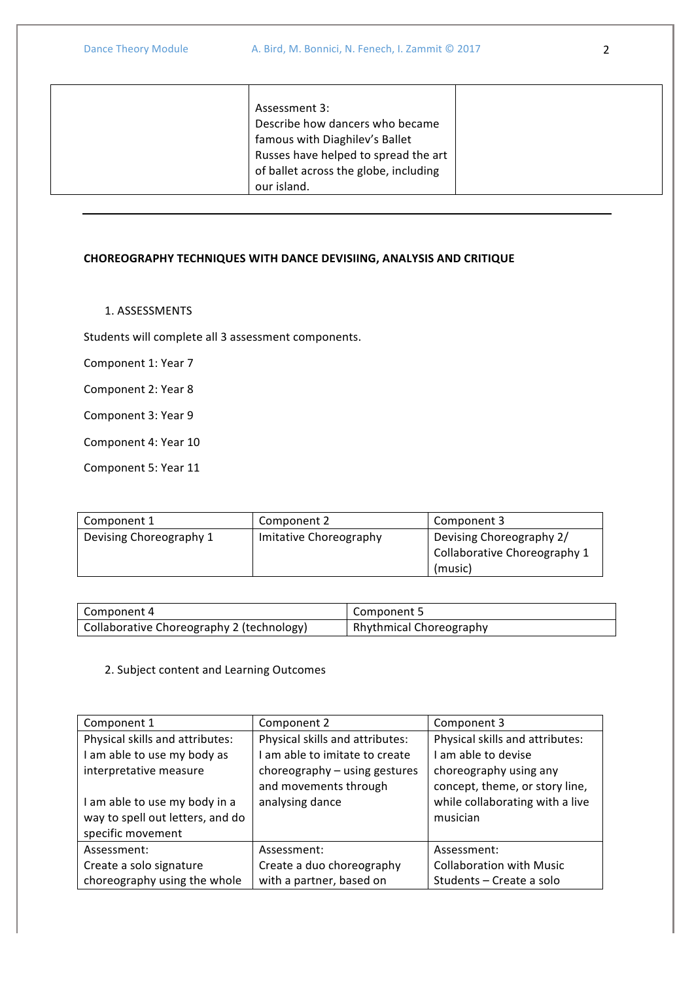| Assessment 3:                         |
|---------------------------------------|
| Describe how dancers who became       |
| famous with Diaghilev's Ballet        |
| Russes have helped to spread the art  |
| of ballet across the globe, including |
| our island.                           |

#### **CHOREOGRAPHY TECHNIQUES WITH DANCE DEVISIING, ANALYSIS AND CRITIQUE**

1. ASSESSMENTS

Students will complete all 3 assessment components.

Component 1: Year 7

Component 2: Year 8

Component 3: Year 9

Component 4: Year 10

Component 5: Year 11

| Component 1             | Component 2            | Component 3                  |
|-------------------------|------------------------|------------------------------|
| Devising Choreography 1 | Imitative Choreography | Devising Choreography 2/     |
|                         |                        | Collaborative Choreography 1 |
|                         |                        | (music)                      |

| Component 4                               | Component 5                    |
|-------------------------------------------|--------------------------------|
| Collaborative Choreography 2 (technology) | <b>Rhythmical Choreography</b> |

# 2. Subject content and Learning Outcomes

| Component 1                      | Component 2                                            | Component 3                                              |
|----------------------------------|--------------------------------------------------------|----------------------------------------------------------|
| Physical skills and attributes:  | Physical skills and attributes:                        | Physical skills and attributes:                          |
| I am able to use my body as      | am able to imitate to create                           | I am able to devise                                      |
| interpretative measure           | choreography - using gestures<br>and movements through | choreography using any<br>concept, theme, or story line, |
| I am able to use my body in a    | analysing dance                                        | while collaborating with a live                          |
| way to spell out letters, and do |                                                        | musician                                                 |
| specific movement                |                                                        |                                                          |
| Assessment:                      | Assessment:                                            | Assessment:                                              |
| Create a solo signature          | Create a duo choreography                              | <b>Collaboration with Music</b>                          |
| choreography using the whole     | with a partner, based on                               | Students - Create a solo                                 |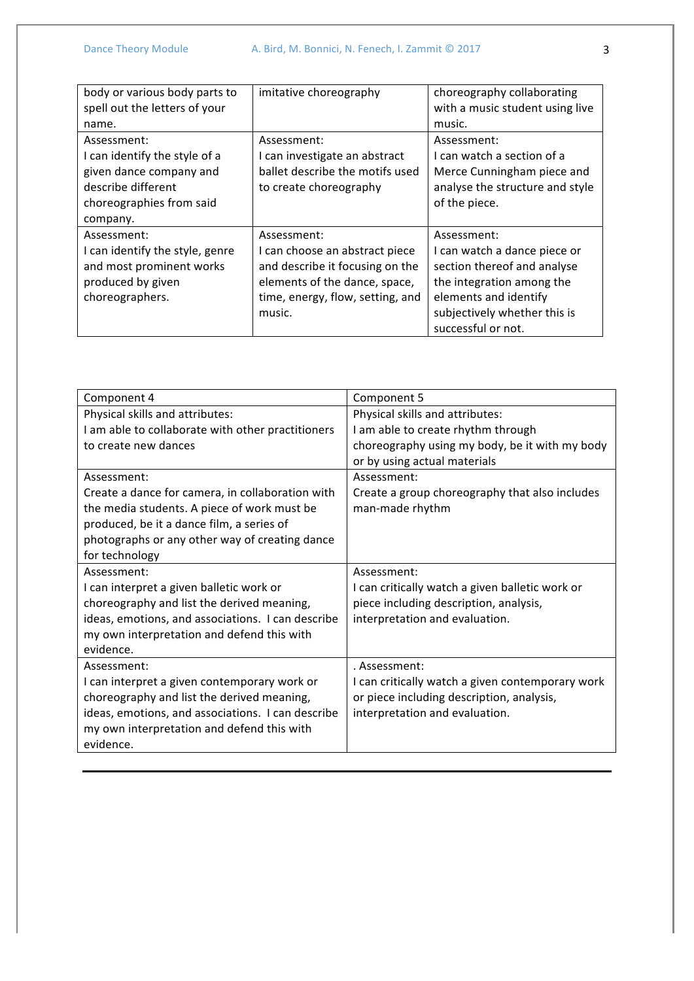| body or various body parts to<br>spell out the letters of your | imitative choreography           | choreography collaborating<br>with a music student using live |
|----------------------------------------------------------------|----------------------------------|---------------------------------------------------------------|
| name.                                                          |                                  | music.                                                        |
| Assessment:                                                    | Assessment:                      | Assessment:                                                   |
| I can identify the style of a                                  | I can investigate an abstract    | I can watch a section of a                                    |
| given dance company and                                        | ballet describe the motifs used  | Merce Cunningham piece and                                    |
| describe different                                             | to create choreography           | analyse the structure and style                               |
| choreographies from said                                       |                                  | of the piece.                                                 |
| company.                                                       |                                  |                                                               |
| Assessment:                                                    | Assessment:                      | Assessment:                                                   |
| I can identify the style, genre                                | I can choose an abstract piece   | I can watch a dance piece or                                  |
| and most prominent works                                       | and describe it focusing on the  | section thereof and analyse                                   |
| produced by given                                              | elements of the dance, space,    | the integration among the                                     |
| choreographers.                                                | time, energy, flow, setting, and | elements and identify                                         |
|                                                                | music.                           | subjectively whether this is                                  |
|                                                                |                                  | successful or not.                                            |

| Component 4                                       | Component 5                                      |
|---------------------------------------------------|--------------------------------------------------|
| Physical skills and attributes:                   | Physical skills and attributes:                  |
| I am able to collaborate with other practitioners | I am able to create rhythm through               |
| to create new dances                              | choreography using my body, be it with my body   |
|                                                   | or by using actual materials                     |
| Assessment:                                       | Assessment:                                      |
| Create a dance for camera, in collaboration with  | Create a group choreography that also includes   |
| the media students. A piece of work must be       | man-made rhythm                                  |
| produced, be it a dance film, a series of         |                                                  |
| photographs or any other way of creating dance    |                                                  |
| for technology                                    |                                                  |
| Assessment:                                       | Assessment:                                      |
| I can interpret a given balletic work or          | I can critically watch a given balletic work or  |
| choreography and list the derived meaning,        | piece including description, analysis,           |
| ideas, emotions, and associations. I can describe | interpretation and evaluation.                   |
| my own interpretation and defend this with        |                                                  |
| evidence.                                         |                                                  |
| Assessment:                                       | . Assessment:                                    |
| I can interpret a given contemporary work or      | I can critically watch a given contemporary work |
| choreography and list the derived meaning,        | or piece including description, analysis,        |
| ideas, emotions, and associations. I can describe | interpretation and evaluation.                   |
| my own interpretation and defend this with        |                                                  |
| evidence.                                         |                                                  |
|                                                   |                                                  |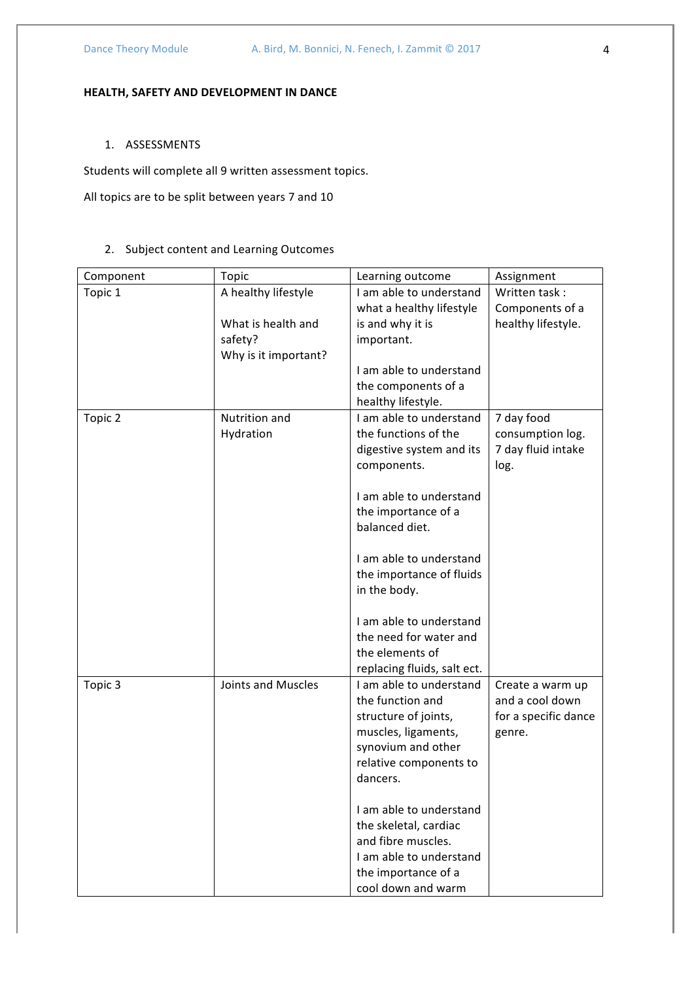# **HEALTH, SAFETY AND DEVELOPMENT IN DANCE**

#### 1. ASSESSMENTS

Students will complete all 9 written assessment topics.

All topics are to be split between years 7 and 10

# 2. Subject content and Learning Outcomes

| Component | Topic                                                                        | Learning outcome                                                                                                                                               | Assignment                                                            |
|-----------|------------------------------------------------------------------------------|----------------------------------------------------------------------------------------------------------------------------------------------------------------|-----------------------------------------------------------------------|
| Topic 1   | A healthy lifestyle<br>What is health and<br>safety?<br>Why is it important? | I am able to understand<br>what a healthy lifestyle<br>is and why it is<br>important.                                                                          | Written task:<br>Components of a<br>healthy lifestyle.                |
|           |                                                                              | I am able to understand<br>the components of a<br>healthy lifestyle.                                                                                           |                                                                       |
| Topic 2   | Nutrition and<br>Hydration                                                   | I am able to understand<br>the functions of the<br>digestive system and its<br>components.<br>I am able to understand<br>the importance of a<br>balanced diet. | 7 day food<br>consumption log.<br>7 day fluid intake<br>log.          |
|           |                                                                              | I am able to understand<br>the importance of fluids<br>in the body.                                                                                            |                                                                       |
|           |                                                                              | I am able to understand<br>the need for water and<br>the elements of<br>replacing fluids, salt ect.                                                            |                                                                       |
| Topic 3   | Joints and Muscles                                                           | I am able to understand<br>the function and<br>structure of joints,<br>muscles, ligaments,<br>synovium and other<br>relative components to<br>dancers.         | Create a warm up<br>and a cool down<br>for a specific dance<br>genre. |
|           |                                                                              | Lam able to understand<br>the skeletal, cardiac<br>and fibre muscles.<br>I am able to understand<br>the importance of a<br>cool down and warm                  |                                                                       |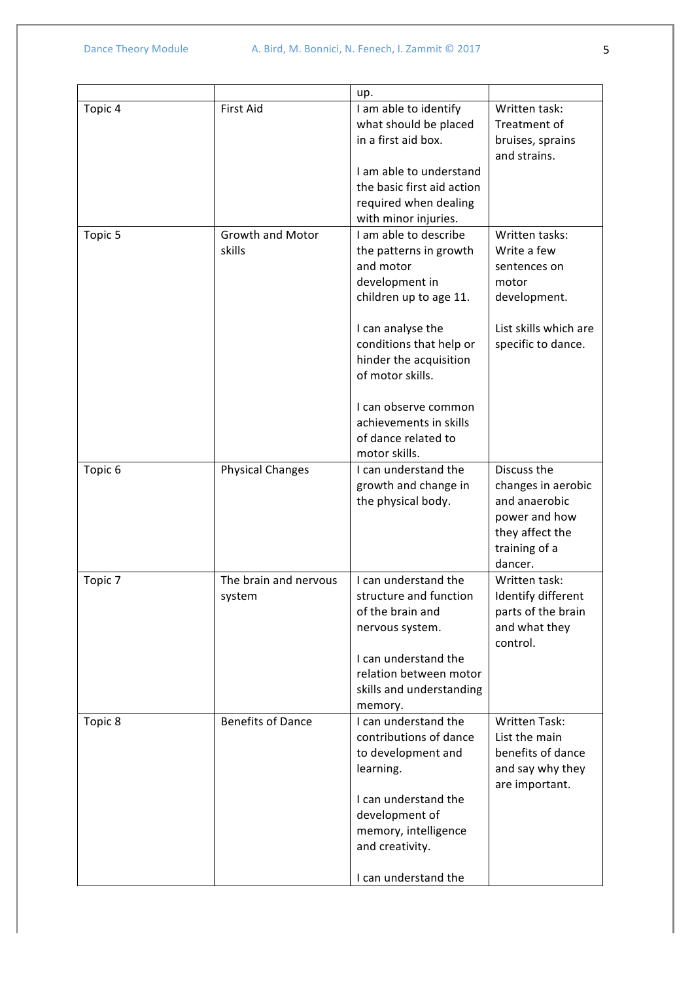|                    |                                 | up.                                                                                                                                                                                                        |                                                                                                                       |
|--------------------|---------------------------------|------------------------------------------------------------------------------------------------------------------------------------------------------------------------------------------------------------|-----------------------------------------------------------------------------------------------------------------------|
| Topic 4            | <b>First Aid</b>                | I am able to identify<br>what should be placed<br>in a first aid box.<br>I am able to understand<br>the basic first aid action<br>required when dealing                                                    | Written task:<br>Treatment of<br>bruises, sprains<br>and strains.                                                     |
| Topic 5            | Growth and Motor<br>skills      | with minor injuries.<br>I am able to describe<br>the patterns in growth<br>and motor<br>development in<br>children up to age 11.<br>I can analyse the<br>conditions that help or<br>hinder the acquisition | Written tasks:<br>Write a few<br>sentences on<br>motor<br>development.<br>List skills which are<br>specific to dance. |
|                    |                                 | of motor skills.<br>I can observe common<br>achievements in skills<br>of dance related to<br>motor skills.                                                                                                 |                                                                                                                       |
| Topic <sub>6</sub> | <b>Physical Changes</b>         | I can understand the<br>growth and change in<br>the physical body.                                                                                                                                         | Discuss the<br>changes in aerobic<br>and anaerobic<br>power and how<br>they affect the<br>training of a<br>dancer.    |
| Topic 7            | The brain and nervous<br>system | I can understand the<br>structure and function<br>of the brain and<br>nervous system.<br>I can understand the<br>relation between motor<br>skills and understanding<br>memory.                             | Written task:<br>Identify different<br>parts of the brain<br>and what they<br>control.                                |
| Topic 8            | <b>Benefits of Dance</b>        | I can understand the<br>contributions of dance<br>to development and<br>learning.<br>I can understand the<br>development of<br>memory, intelligence<br>and creativity.<br>I can understand the             | <b>Written Task:</b><br>List the main<br>benefits of dance<br>and say why they<br>are important.                      |